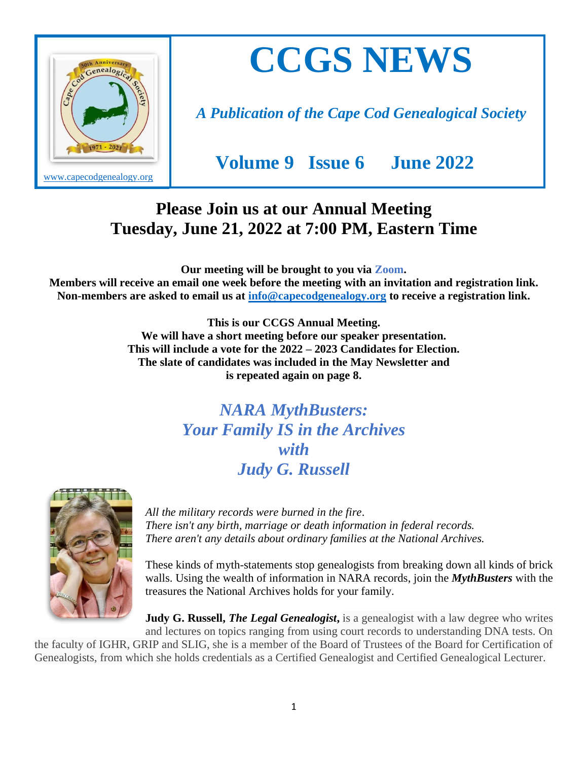

# **CCGS NEWS**

*A Publication of the Cape Cod Genealogical Society*

 **Volume 9 Issue 6 June 2022** 

#### **Please Join us at our Annual Meeting Tuesday, June 21, 2022 at 7:00 PM, Eastern Time**

**Our meeting will be brought to you via Zoom.** 

**Members will receive an email one week before the meeting with an invitation and registration link. Non-members are asked to email us at [info@capecodgenealogy.org](mailto:info@capecodgenealogy.org) to receive a registration link.**

> **This is our CCGS Annual Meeting. We will have a short meeting before our speaker presentation. This will include a vote for the 2022 – 2023 Candidates for Election. The slate of candidates was included in the May Newsletter and is repeated again on page 8.**

> > *NARA MythBusters: Your Family IS in the Archives with Judy G. Russell*



*All the military records were burned in the fire. There isn't any birth, marriage or death information in federal records. There aren't any details about ordinary families at the National Archives.*

These kinds of myth-statements stop genealogists from breaking down all kinds of brick walls. Using the wealth of information in NARA records, join the *MythBusters* with the treasures the National Archives holds for your family.

**Judy G. Russell,** *The Legal Genealogist*, is a genealogist with a law degree who writes and lectures on topics ranging from using court records to understanding DNA tests. On

the faculty of IGHR, GRIP and SLIG, she is a member of the Board of Trustees of the Board for Certification of Genealogists, from which she holds credentials as a Certified Genealogist and Certified Genealogical Lecturer.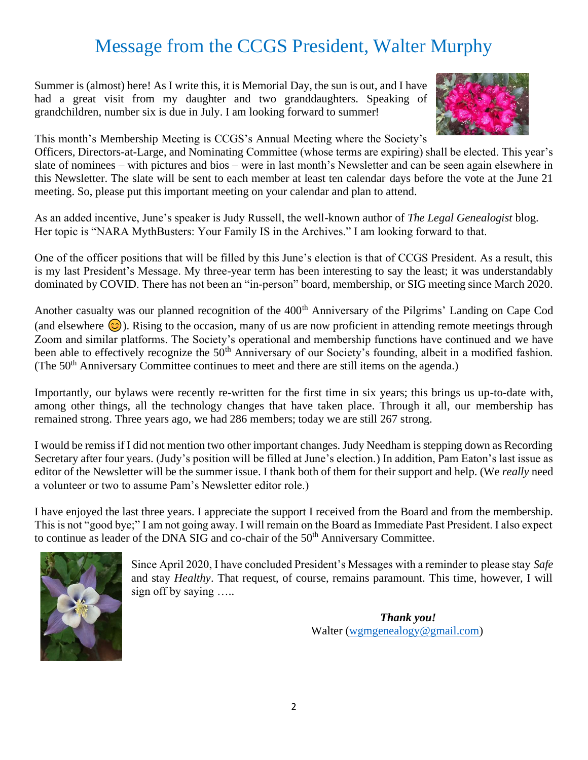# Message from the CCGS President, Walter Murphy

Summer is (almost) here! As I write this, it is Memorial Day, the sun is out, and I have had a great visit from my daughter and two granddaughters. Speaking of grandchildren, number six is due in July. I am looking forward to summer!



This month's Membership Meeting is CCGS's Annual Meeting where the Society's

Officers, Directors-at-Large, and Nominating Committee (whose terms are expiring) shall be elected. This year's slate of nominees – with pictures and bios – were in last month's Newsletter and can be seen again elsewhere in this Newsletter. The slate will be sent to each member at least ten calendar days before the vote at the June 21 meeting. So, please put this important meeting on your calendar and plan to attend.

As an added incentive, June's speaker is Judy Russell, the well-known author of *The Legal Genealogist* blog. Her topic is "NARA MythBusters: Your Family IS in the Archives." I am looking forward to that.

One of the officer positions that will be filled by this June's election is that of CCGS President. As a result, this is my last President's Message. My three-year term has been interesting to say the least; it was understandably dominated by COVID. There has not been an "in-person" board, membership, or SIG meeting since March 2020.

Another casualty was our planned recognition of the 400<sup>th</sup> Anniversary of the Pilgrims' Landing on Cape Cod (and elsewhere  $\circled{c}$ ). Rising to the occasion, many of us are now proficient in attending remote meetings through Zoom and similar platforms. The Society's operational and membership functions have continued and we have been able to effectively recognize the 50<sup>th</sup> Anniversary of our Society's founding, albeit in a modified fashion. (The 50<sup>th</sup> Anniversary Committee continues to meet and there are still items on the agenda.)

Importantly, our bylaws were recently re-written for the first time in six years; this brings us up-to-date with, among other things, all the technology changes that have taken place. Through it all, our membership has remained strong. Three years ago, we had 286 members; today we are still 267 strong.

I would be remiss if I did not mention two other important changes. Judy Needham is stepping down as Recording Secretary after four years. (Judy's position will be filled at June's election.) In addition, Pam Eaton's last issue as editor of the Newsletter will be the summer issue. I thank both of them for their support and help. (We *really* need a volunteer or two to assume Pam's Newsletter editor role.)

I have enjoyed the last three years. I appreciate the support I received from the Board and from the membership. This is not "good bye;" I am not going away. I will remain on the Board as Immediate Past President. I also expect to continue as leader of the DNA SIG and co-chair of the 50<sup>th</sup> Anniversary Committee.



Since April 2020, I have concluded President's Messages with a reminder to please stay *Safe* and stay *Healthy*. That request, of course, remains paramount. This time, however, I will sign off by saying …..

> *Thank you!* Walter [\(wgmgenealogy@gmail.com\)](mailto:wgmgenealogy@gmail.com)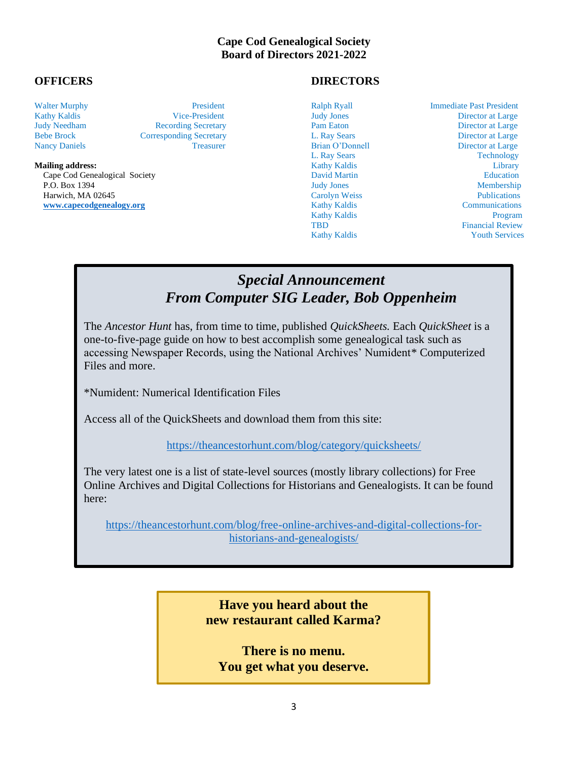#### **Cape Cod Genealogical Society Board of Directors 2021-2022**

Cape Cod Genealogical Society **David Martin Community** David Martin Education Education P.O. Box 1394 Judy Jones Membership P.O. Box 1394 Judy Jones Membership<br>
Harwich, MA 02645 Carolyn Weiss Publications<br>
Water Carolyn Weiss Publications<br>
Communications Communications [www.capecodgenealogy.org](http://www.capecodgenealogy.org/)

Kathy Kaldis Vice-President Judy Jones Director at Large Judy Needham Recording Secretary Pam Eaton Director at Large Bebe Brock Corresponding Secretary L. Ray Sears Director at Large Nancy Daniels **Treasurer** Treasurer Brian O'Donnell Director at Large

#### **OFFICERS DIRECTORS**

Walter Murphy **President** President Ralph Ryall **Immediate Past President** Ralph Ryall Immediate Past President

L. Ray Sears Technology **Mailing address:** Elibrary **Contract Contract Contract Contract Contract Contract Contract Contract Contract Contract Contract Contract Contract Contract Contract Contract Contract Contract Contract Contract Contract Cont** Kathy Kaldis Program TBD Financial Review Kathy Kaldis Youth Services

#### *Special Announcement From Computer SIG Leader, Bob Oppenheim*

The *Ancestor Hunt* has, from time to time, published *QuickSheets.* Each *QuickSheet* is a one-to-five-page guide on how to best accomplish some genealogical task such as accessing Newspaper Records, using the National Archives' Numident\* Computerized Files and more.

\*Numident: Numerical Identification Files

Access all of the QuickSheets and download them from this site:

<https://theancestorhunt.com/blog/category/quicksheets/>

The very latest one is a list of state-level sources (mostly library collections) for Free Online Archives and Digital Collections for Historians and Genealogists. It can be found here:

[https://theancestorhunt.com/blog/free-online-archives-and-digital-collections-for](https://theancestorhunt.com/blog/free-online-archives-and-digital-collections-for-historians-and-genealogists/)[historians-and-genealogists/](https://theancestorhunt.com/blog/free-online-archives-and-digital-collections-for-historians-and-genealogists/)

> **Have you heard about the new restaurant called Karma?**

**There is no menu. You get what you deserve.**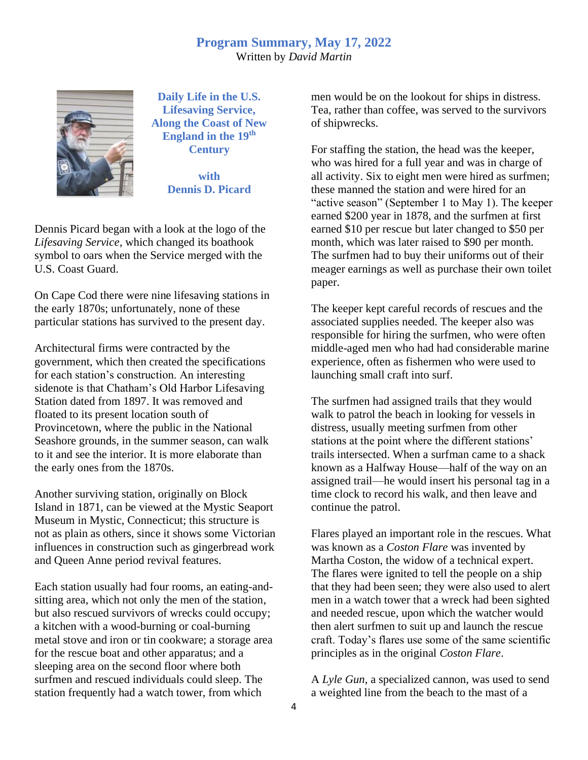#### **Program Summary, May 17, 2022** Written by *David Martin*



**Daily Life in the U.S. Lifesaving Service, Along the Coast of New England in the 19th Century**

> **with Dennis D. Picard**

Dennis Picard began with a look at the logo of the *Lifesaving Service*, which changed its boathook symbol to oars when the Service merged with the U.S. Coast Guard.

On Cape Cod there were nine lifesaving stations in the early 1870s; unfortunately, none of these particular stations has survived to the present day.

Architectural firms were contracted by the government, which then created the specifications for each station's construction. An interesting sidenote is that Chatham's Old Harbor Lifesaving Station dated from 1897. It was removed and floated to its present location south of Provincetown, where the public in the National Seashore grounds, in the summer season, can walk to it and see the interior. It is more elaborate than the early ones from the 1870s.

Another surviving station, originally on Block Island in 1871, can be viewed at the Mystic Seaport Museum in Mystic, Connecticut; this structure is not as plain as others, since it shows some Victorian influences in construction such as gingerbread work and Queen Anne period revival features.

Each station usually had four rooms, an eating-andsitting area, which not only the men of the station, but also rescued survivors of wrecks could occupy; a kitchen with a wood-burning or coal-burning metal stove and iron or tin cookware; a storage area for the rescue boat and other apparatus; and a sleeping area on the second floor where both surfmen and rescued individuals could sleep. The station frequently had a watch tower, from which

men would be on the lookout for ships in distress. Tea, rather than coffee, was served to the survivors of shipwrecks.

For staffing the station, the head was the keeper, who was hired for a full year and was in charge of all activity. Six to eight men were hired as surfmen; these manned the station and were hired for an "active season" (September 1 to May 1). The keeper earned \$200 year in 1878, and the surfmen at first earned \$10 per rescue but later changed to \$50 per month, which was later raised to \$90 per month. The surfmen had to buy their uniforms out of their meager earnings as well as purchase their own toilet paper.

The keeper kept careful records of rescues and the associated supplies needed. The keeper also was responsible for hiring the surfmen, who were often middle-aged men who had had considerable marine experience, often as fishermen who were used to launching small craft into surf.

The surfmen had assigned trails that they would walk to patrol the beach in looking for vessels in distress, usually meeting surfmen from other stations at the point where the different stations' trails intersected. When a surfman came to a shack known as a Halfway House—half of the way on an assigned trail—he would insert his personal tag in a time clock to record his walk, and then leave and continue the patrol.

Flares played an important role in the rescues. What was known as a *Coston Flare* was invented by Martha Coston, the widow of a technical expert. The flares were ignited to tell the people on a ship that they had been seen; they were also used to alert men in a watch tower that a wreck had been sighted and needed rescue, upon which the watcher would then alert surfmen to suit up and launch the rescue craft. Today's flares use some of the same scientific principles as in the original *Coston Flare*.

A *Lyle Gun*, a specialized cannon, was used to send a weighted line from the beach to the mast of a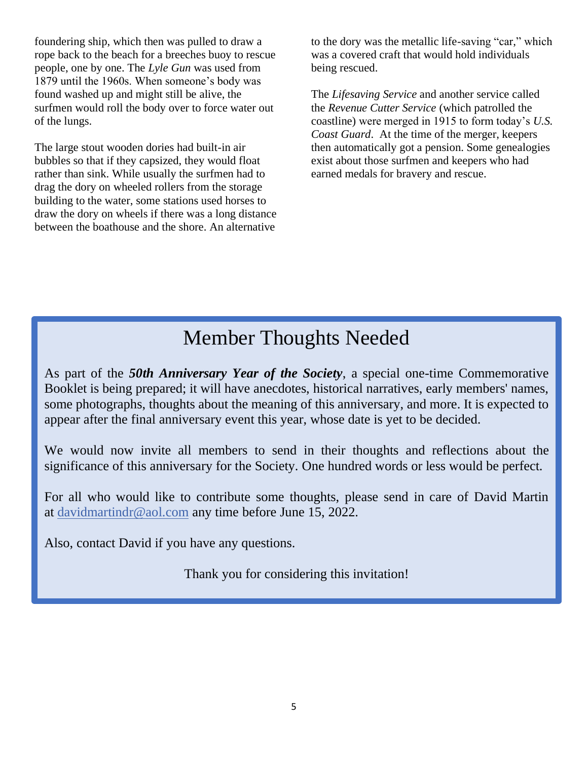foundering ship, which then was pulled to draw a rope back to the beach for a breeches buoy to rescue people, one by one. The *Lyle Gun* was used from 1879 until the 1960s. When someone's body was found washed up and might still be alive, the surfmen would roll the body over to force water out of the lungs.

The large stout wooden dories had built-in air bubbles so that if they capsized, they would float rather than sink. While usually the surfmen had to drag the dory on wheeled rollers from the storage building to the water, some stations used horses to draw the dory on wheels if there was a long distance between the boathouse and the shore. An alternative

to the dory was the metallic life-saving "car," which was a covered craft that would hold individuals being rescued.

The *Lifesaving Service* and another service called the *Revenue Cutter Service* (which patrolled the coastline) were merged in 1915 to form today's *U.S. Coast Guard*. At the time of the merger, keepers then automatically got a pension. Some genealogies exist about those surfmen and keepers who had earned medals for bravery and rescue.

# Member Thoughts Needed

As part of the *50th Anniversary Year of the Society*, a special one-time Commemorative Booklet is being prepared; it will have anecdotes, historical narratives, early members' names, some photographs, thoughts about the meaning of this anniversary, and more. It is expected to appear after the final anniversary event this year, whose date is yet to be decided.

We would now invite all members to send in their thoughts and reflections about the significance of this anniversary for the Society. One hundred words or less would be perfect.

For all who would like to contribute some thoughts, please send in care of David Martin at [davidmartindr@aol.com](mailto:davidmartindr@aol.com) any time before June 15, 2022.

Also, contact David if you have any questions.

Thank you for considering this invitation!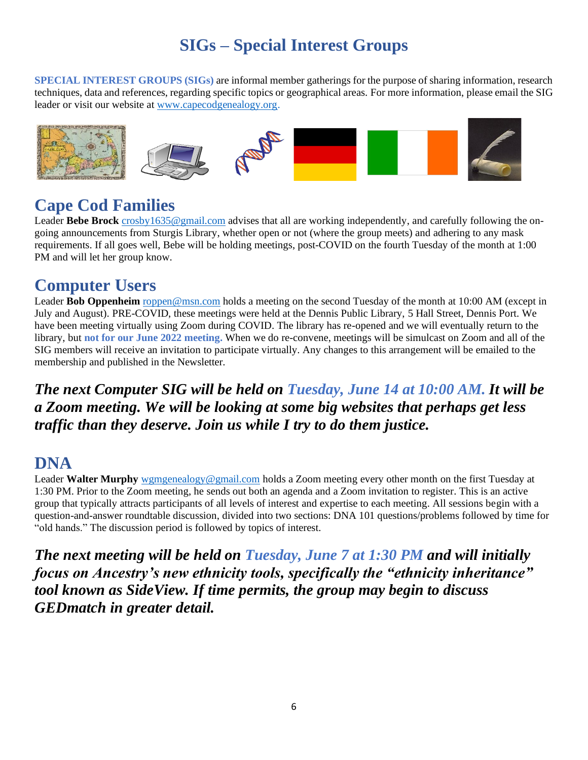# **SIGs – Special Interest Groups**

**SPECIAL INTEREST GROUPS (SIGs)** are informal member gatherings for the purpose of sharing information, research techniques, data and references, regarding specific topics or geographical areas. For more information, please email the SIG leader or visit our website at [www.capecodgenealogy.org.](http://www.capecodgenealogy.org/)



### **Cape C[od F](https://creativecommons.org/licenses/by-sa/3.0/)amilies**

L[eader](https://creativecommons.org/licenses/by-sa/3.0/) **Bebe Brock** [crosby1635@gmail.com](mailto:crosby1635@gmail.com) advises that all are working indep[endent](https://creativecommons.org/licenses/by-nc-sa/3.0/)ly, and carefully following the ongoing announcements from Sturgis Library, [whether o](https://creativecommons.org/licenses/by-sa/3.0/)pen or not (w[here the](https://creativecommons.org/licenses/by-sa/3.0/) group meets) and adhering to any mask requirements. If all goes well, Bebe will be holding meetings, [pos](https://creativecommons.org/licenses/by-sa/3.0/)t-COVID on the fourth Tuesday of th[e month](https://creativecommons.org/licenses/by-sa/3.0/) at 1:00 PM and will let her group know.

#### **Computer Users**

Leader **Bob Oppenheim** [roppen@msn.com](mailto:roppen@msn.com) holds a meeting on the second Tuesday of the month at 10:00 AM (except in July and August). PRE-COVID, these meetings were held at the Dennis Public Library, 5 Hall Street, Dennis Port. We have been meeting virtually using Zoom during COVID. The library has re-opened and we will eventually return to the library, but **not for our June 2022 meeting.** When we do re-convene, meetings will be simulcast on Zoom and all of the SIG members will receive an invitation to participate virtually. Any changes to this arrangement will be emailed to the membership and published in the Newsletter.

*The next Computer SIG will be held on Tuesday, June 14 at 10:00 AM. It will be a Zoom meeting. We will be looking at some big websites that perhaps get less traffic than they deserve. Join us while I try to do them justice.*

#### **DNA**

Leader **Walter Murphy** [wgmgenealogy@gmail.com](mailto:wgmgenealogy@gmail.com) holds a Zoom meeting every other month on the first Tuesday at 1:30 PM. Prior to the Zoom meeting, he sends out both an agenda and a Zoom invitation to register. This is an active group that typically attracts participants of all levels of interest and expertise to each meeting. All sessions begin with a question-and-answer roundtable discussion, divided into two sections: DNA 101 questions/problems followed by time for "old hands." The discussion period is followed by topics of interest.

*The next meeting will be held on Tuesday, June 7 at 1:30 PM and will initially focus on Ancestry's new ethnicity tools, specifically the "ethnicity inheritance" tool known as SideView. If time permits, the group may begin to discuss GEDmatch in greater detail.*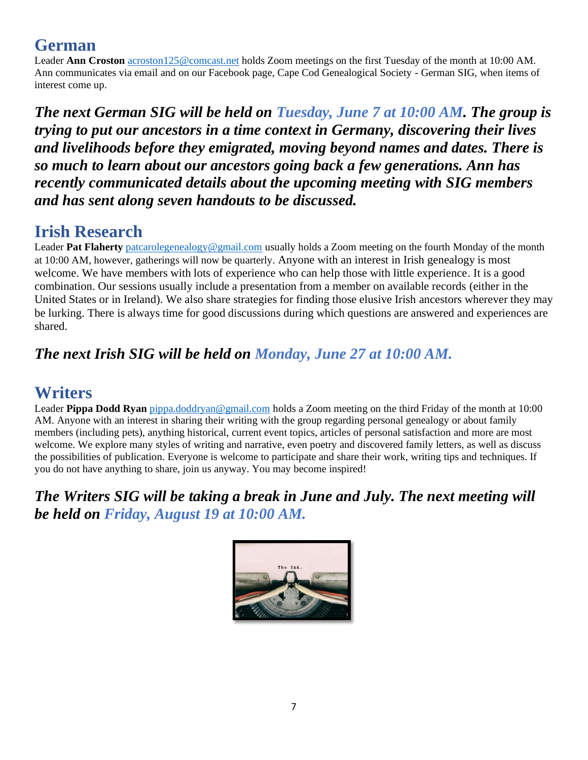#### **German**

Leader **Ann Croston** [acroston125@comcast.net](mailto:acroston125@comcast.net) holds Zoom meetings on the first Tuesday of the month at 10:00 AM. Ann communicates via email and on our Facebook page, Cape Cod Genealogical Society - German SIG, when items of interest come up.

*The next German SIG will be held on Tuesday, June 7 at 10:00 AM. The group is trying to put our ancestors in a time context in Germany, discovering their lives and livelihoods before they emigrated, moving beyond names and dates. There is so much to learn about our ancestors going back a few generations. Ann has recently communicated details about the upcoming meeting with SIG members and has sent along seven handouts to be discussed.* 

## **Irish Research**

Leader **Pat Flaherty** [patcarolegenealogy@gmail.com](mailto:patcarolegenealogy@gmail.com) usually holds a Zoom meeting on the fourth Monday of the month at 10:00 AM, however, gatherings will now be quarterly. Anyone with an interest in Irish genealogy is most welcome. We have members with lots of experience who can help those with little experience. It is a good combination. Our sessions usually include a presentation from a member on available records (either in the United States or in Ireland). We also share strategies for finding those elusive Irish ancestors wherever they may be lurking. There is always time for good discussions during which questions are answered and experiences are shared.

#### *The next Irish SIG will be held on Monday, June 27 at 10:00 AM.*

#### **Writers**

Leader **Pippa Dodd Ryan** [pippa.doddryan@gmail.com](mailto:pippa.doddryan@gmail.com) holds a Zoom meeting on the third Friday of the month at 10:00 AM. Anyone with an interest in sharing their writing with the group regarding personal genealogy or about family members (including pets), anything historical, current event topics, articles of personal satisfaction and more are most welcome. We explore many styles of writing and narrative, even poetry and discovered family letters, as well as discuss the possibilities of publication. Everyone is welcome to participate and share their work, writing tips and techniques. If you do not have anything to share, join us anyway. You may become inspired!

*The Writers SIG will be taking a break in June and July. The next meeting will be held on Friday, August 19 at 10:00 AM.*

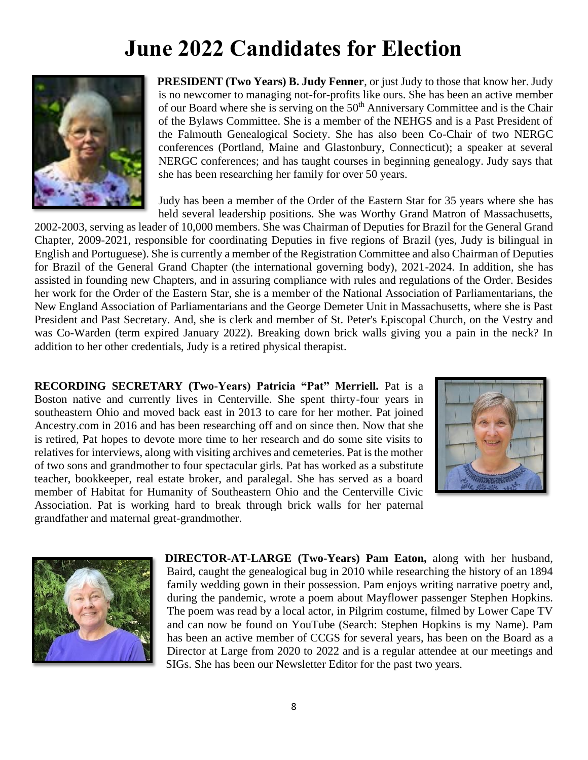# **June 2022 Candidates for Election**



**PRESIDENT (Two Years) B. Judy Fenner**, or just Judy to those that know her. Judy is no newcomer to managing not-for-profits like ours. She has been an active member of our Board where she is serving on the  $50<sup>th</sup>$  Anniversary Committee and is the Chair of the Bylaws Committee. She is a member of the NEHGS and is a Past President of the Falmouth Genealogical Society. She has also been Co-Chair of two NERGC conferences (Portland, Maine and Glastonbury, Connecticut); a speaker at several NERGC conferences; and has taught courses in beginning genealogy. Judy says that she has been researching her family for over 50 years.

Judy has been a member of the Order of the Eastern Star for 35 years where she has held several leadership positions. She was Worthy Grand Matron of Massachusetts,

2002-2003, serving as leader of 10,000 members. She was Chairman of Deputies for Brazil for the General Grand Chapter, 2009-2021, responsible for coordinating Deputies in five regions of Brazil (yes, Judy is bilingual in English and Portuguese). She is currently a member of the Registration Committee and also Chairman of Deputies for Brazil of the General Grand Chapter (the international governing body), 2021-2024. In addition, she has assisted in founding new Chapters, and in assuring compliance with rules and regulations of the Order. Besides her work for the Order of the Eastern Star, she is a member of the National Association of Parliamentarians, the New England Association of Parliamentarians and the George Demeter Unit in Massachusetts, where she is Past President and Past Secretary. And, she is clerk and member of St. Peter's Episcopal Church, on the Vestry and was Co-Warden (term expired January 2022). Breaking down brick walls giving you a pain in the neck? In addition to her other credentials, Judy is a retired physical therapist.

**RECORDING SECRETARY (Two-Years) Patricia "Pat" Merriell.** Pat is a Boston native and currently lives in Centerville. She spent thirty-four years in southeastern Ohio and moved back east in 2013 to care for her mother. Pat joined Ancestry.com in 2016 and has been researching off and on since then. Now that she is retired, Pat hopes to devote more time to her research and do some site visits to relatives for interviews, along with visiting archives and cemeteries. Pat is the mother of two sons and grandmother to four spectacular girls. Pat has worked as a substitute teacher, bookkeeper, real estate broker, and paralegal. She has served as a board member of Habitat for Humanity of Southeastern Ohio and the Centerville Civic Association. Pat is working hard to break through brick walls for her paternal grandfather and maternal great-grandmother.





**DIRECTOR-AT-LARGE (Two-Years) Pam Eaton,** along with her husband, Baird, caught the genealogical bug in 2010 while researching the history of an 1894 family wedding gown in their possession. Pam enjoys writing narrative poetry and, during the pandemic, wrote a poem about Mayflower passenger Stephen Hopkins. The poem was read by a local actor, in Pilgrim costume, filmed by Lower Cape TV and can now be found on YouTube (Search: Stephen Hopkins is my Name). Pam has been an active member of CCGS for several years, has been on the Board as a Director at Large from 2020 to 2022 and is a regular attendee at our meetings and SIGs. She has been our Newsletter Editor for the past two years.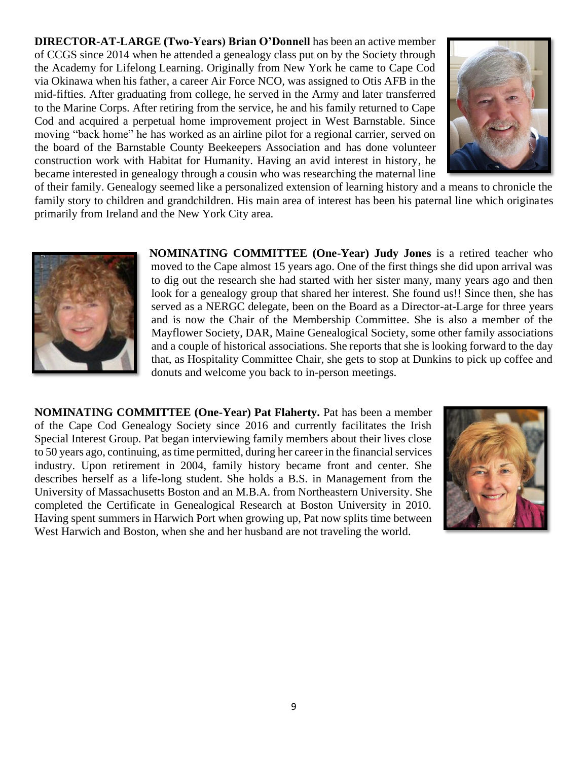**DIRECTOR-AT-LARGE (Two-Years) Brian O'Donnell** has been an active member of CCGS since 2014 when he attended a genealogy class put on by the Society through the Academy for Lifelong Learning. Originally from New York he came to Cape Cod via Okinawa when his father, a career Air Force NCO, was assigned to Otis AFB in the mid-fifties. After graduating from college, he served in the Army and later transferred to the Marine Corps. After retiring from the service, he and his family returned to Cape Cod and acquired a perpetual home improvement project in West Barnstable. Since moving "back home" he has worked as an airline pilot for a regional carrier, served on the board of the Barnstable County Beekeepers Association and has done volunteer construction work with Habitat for Humanity. Having an avid interest in history, he became interested in genealogy through a cousin who was researching the maternal line



of their family. Genealogy seemed like a personalized extension of learning history and a means to chronicle the family story to children and grandchildren. His main area of interest has been his paternal line which originates primarily from Ireland and the New York City area.



**NOMINATING COMMITTEE (One-Year) Judy Jones** is a retired teacher who moved to the Cape almost 15 years ago. One of the first things she did upon arrival was to dig out the research she had started with her sister many, many years ago and then look for a genealogy group that shared her interest. She found us!! Since then, she has served as a NERGC delegate, been on the Board as a Director-at-Large for three years and is now the Chair of the Membership Committee. She is also a member of the Mayflower Society, DAR, Maine Genealogical Society, some other family associations and a couple of historical associations. She reports that she is looking forward to the day that, as Hospitality Committee Chair, she gets to stop at Dunkins to pick up coffee and donuts and welcome you back to in-person meetings.

**NOMINATING COMMITTEE (One-Year) Pat Flaherty.** Pat has been a member of the Cape Cod Genealogy Society since 2016 and currently facilitates the Irish Special Interest Group. Pat began interviewing family members about their lives close to 50 years ago, continuing, as time permitted, during her career in the financial services industry. Upon retirement in 2004, family history became front and center. She describes herself as a life-long student. She holds a B.S. in Management from the University of Massachusetts Boston and an M.B.A. from Northeastern University. She completed the Certificate in Genealogical Research at Boston University in 2010. Having spent summers in Harwich Port when growing up, Pat now splits time between West Harwich and Boston, when she and her husband are not traveling the world.

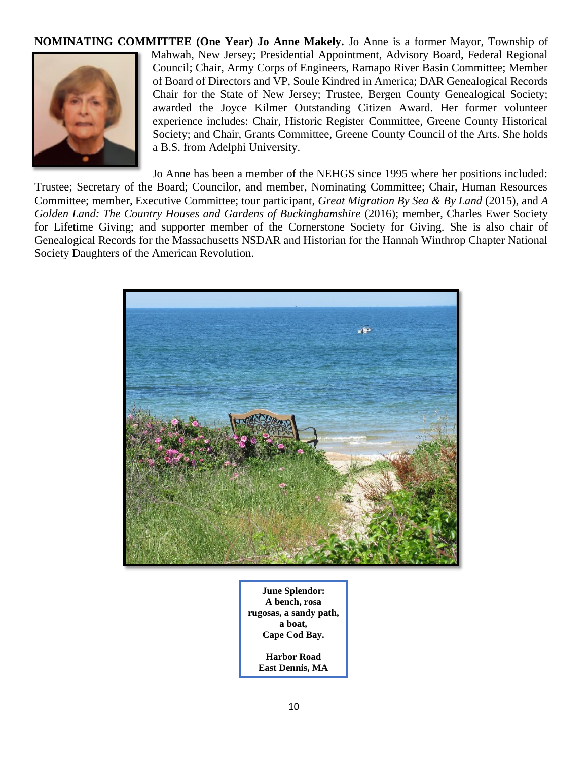#### **NOMINATING COMMITTEE (One Year) Jo Anne Makely.** Jo Anne is a former Mayor, Township of Mahwah, New Jersey; Presidential Appointment, Advisory Board, Federal Regional Council; Chair, Army Corps of Engineers, Ramapo River Basin Committee; Member of Board of Directors and VP, Soule Kindred in America; DAR Genealogical Records Chair for the State of New Jersey; Trustee, Bergen County Genealogical Society; awarded the Joyce Kilmer Outstanding Citizen Award. Her former volunteer experience includes: Chair, Historic Register Committee, Greene County Historical Society; and Chair, Grants Committee, Greene County Council of the Arts. She holds a B.S. from Adelphi University.

Jo Anne has been a member of the NEHGS since 1995 where her positions included: Trustee; Secretary of the Board; Councilor, and member, Nominating Committee; Chair, Human Resources Committee; member, Executive Committee; tour participant, *Great Migration By Sea & By Land* (2015), and *A Golden Land: The Country Houses and Gardens of Buckinghamshire* (2016); member, Charles Ewer Society for Lifetime Giving; and supporter member of the Cornerstone Society for Giving. She is also chair of Genealogical Records for the Massachusetts NSDAR and Historian for the Hannah Winthrop Chapter National Society Daughters of the American Revolution.



**June Splendor: A bench, rosa rugosas, a sandy path, a boat, Cape Cod Bay.**

**Harbor Road East Dennis, MA**